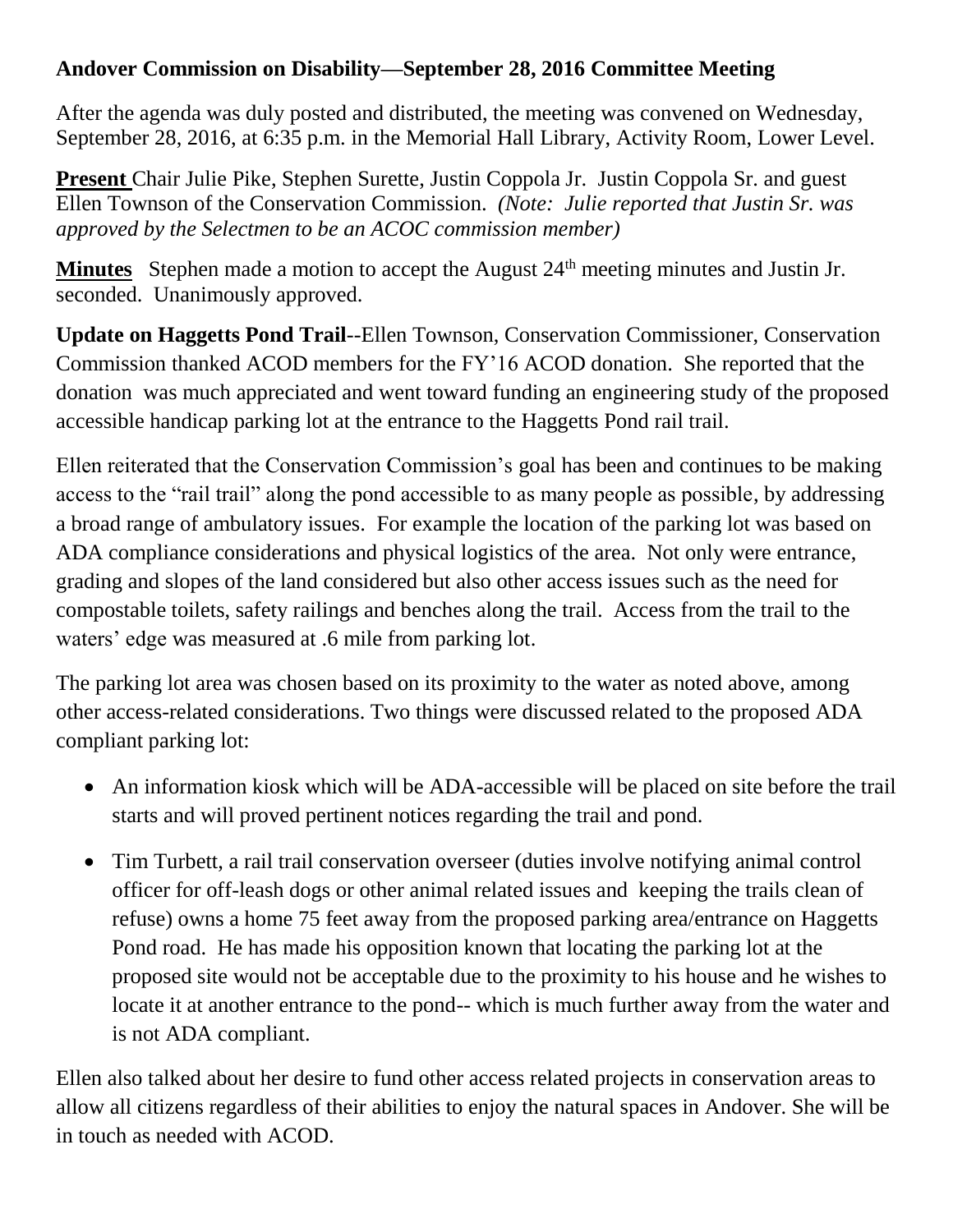## **Andover Commission on Disability—September 28, 2016 Committee Meeting**

After the agenda was duly posted and distributed, the meeting was convened on Wednesday, September 28, 2016, at 6:35 p.m. in the Memorial Hall Library, Activity Room, Lower Level.

**Present** Chair Julie Pike, Stephen Surette, Justin Coppola Jr. Justin Coppola Sr. and guest Ellen Townson of the Conservation Commission. *(Note: Julie reported that Justin Sr. was approved by the Selectmen to be an ACOC commission member)*

**Minutes** Stephen made a motion to accept the August 24<sup>th</sup> meeting minutes and Justin Jr. seconded. Unanimously approved.

**Update on Haggetts Pond Trail**--Ellen Townson, Conservation Commissioner, Conservation Commission thanked ACOD members for the FY'16 ACOD donation. She reported that the donation was much appreciated and went toward funding an engineering study of the proposed accessible handicap parking lot at the entrance to the Haggetts Pond rail trail.

Ellen reiterated that the Conservation Commission's goal has been and continues to be making access to the "rail trail" along the pond accessible to as many people as possible, by addressing a broad range of ambulatory issues. For example the location of the parking lot was based on ADA compliance considerations and physical logistics of the area. Not only were entrance, grading and slopes of the land considered but also other access issues such as the need for compostable toilets, safety railings and benches along the trail. Access from the trail to the waters' edge was measured at .6 mile from parking lot.

The parking lot area was chosen based on its proximity to the water as noted above, among other access-related considerations. Two things were discussed related to the proposed ADA compliant parking lot:

- An information kiosk which will be ADA-accessible will be placed on site before the trail starts and will proved pertinent notices regarding the trail and pond.
- Tim Turbett, a rail trail conservation overseer (duties involve notifying animal control officer for off-leash dogs or other animal related issues and keeping the trails clean of refuse) owns a home 75 feet away from the proposed parking area/entrance on Haggetts Pond road. He has made his opposition known that locating the parking lot at the proposed site would not be acceptable due to the proximity to his house and he wishes to locate it at another entrance to the pond-- which is much further away from the water and is not ADA compliant.

Ellen also talked about her desire to fund other access related projects in conservation areas to allow all citizens regardless of their abilities to enjoy the natural spaces in Andover. She will be in touch as needed with ACOD.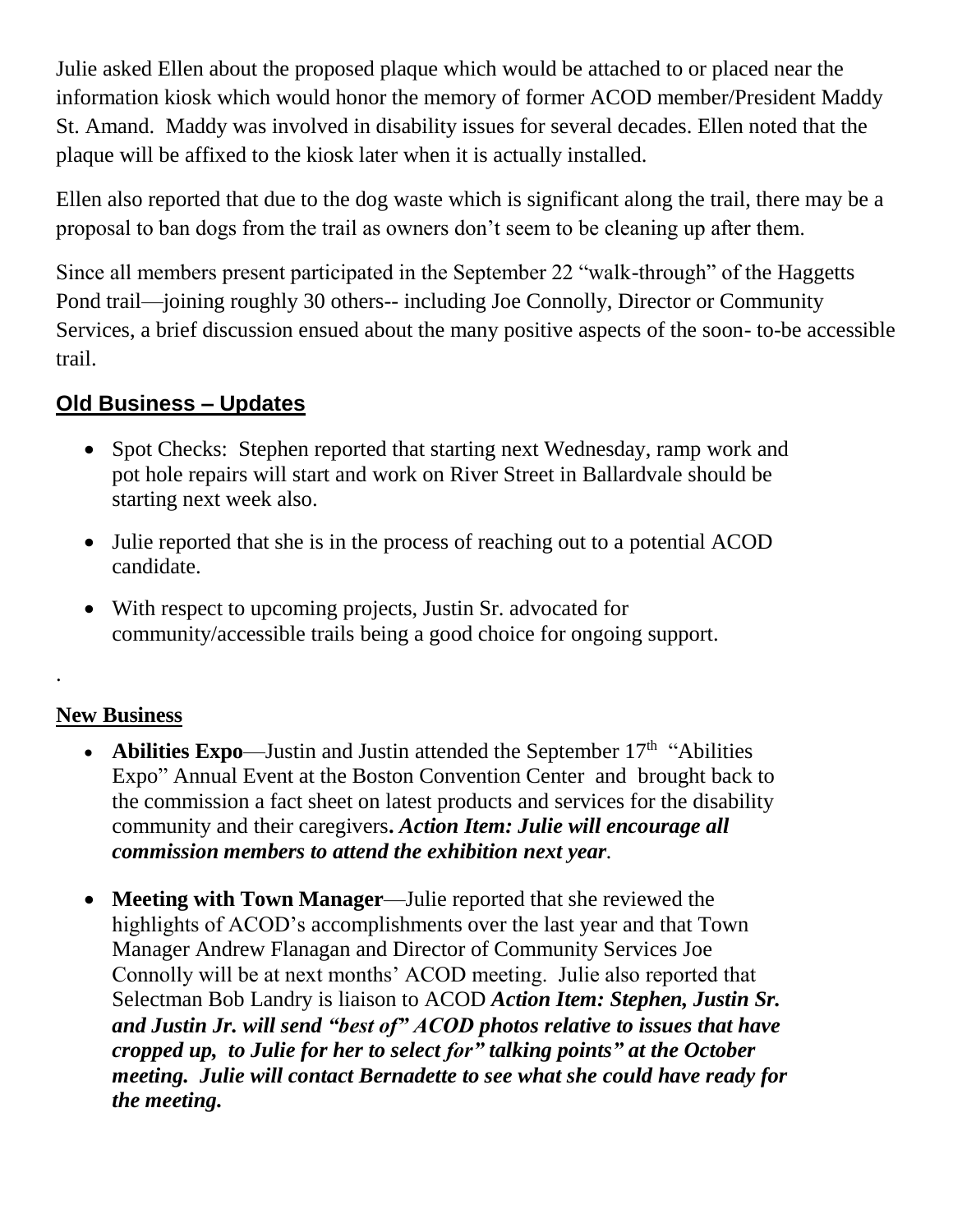Julie asked Ellen about the proposed plaque which would be attached to or placed near the information kiosk which would honor the memory of former ACOD member/President Maddy St. Amand. Maddy was involved in disability issues for several decades. Ellen noted that the plaque will be affixed to the kiosk later when it is actually installed.

Ellen also reported that due to the dog waste which is significant along the trail, there may be a proposal to ban dogs from the trail as owners don't seem to be cleaning up after them.

Since all members present participated in the September 22 "walk-through" of the Haggetts Pond trail—joining roughly 30 others-- including Joe Connolly, Director or Community Services, a brief discussion ensued about the many positive aspects of the soon- to-be accessible trail.

## **Old Business – Updates**

- Spot Checks: Stephen reported that starting next Wednesday, ramp work and pot hole repairs will start and work on River Street in Ballardvale should be starting next week also.
- Julie reported that she is in the process of reaching out to a potential ACOD candidate.
- With respect to upcoming projects, Justin Sr. advocated for community/accessible trails being a good choice for ongoing support.

## **New Business**

.

- **Abilities Expo**—Justin and Justin attended the September 17<sup>th</sup> "Abilities" Expo" Annual Event at the Boston Convention Center and brought back to the commission a fact sheet on latest products and services for the disability community and their caregivers**.** *Action Item: Julie will encourage all commission members to attend the exhibition next year.*
- **Meeting with Town Manager**—Julie reported that she reviewed the highlights of ACOD's accomplishments over the last year and that Town Manager Andrew Flanagan and Director of Community Services Joe Connolly will be at next months' ACOD meeting. Julie also reported that Selectman Bob Landry is liaison to ACOD *Action Item: Stephen, Justin Sr. and Justin Jr. will send "best of" ACOD photos relative to issues that have cropped up, to Julie for her to select for" talking points" at the October meeting. Julie will contact Bernadette to see what she could have ready for the meeting.*